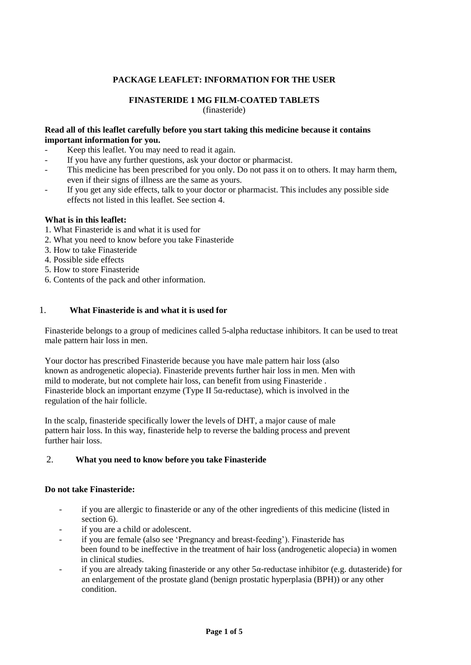# **PACKAGE LEAFLET: INFORMATION FOR THE USER**

## **FINASTERIDE 1 MG FILM-COATED TABLETS**

(finasteride)

#### **Read all of this leaflet carefully before you start taking this medicine because it contains important information for you.**

- Keep this leaflet. You may need to read it again.
- If you have any further questions, ask your doctor or pharmacist.
- This medicine has been prescribed for you only. Do not pass it on to others. It may harm them, even if their signs of illness are the same as yours.
- If you get any side effects, talk to your doctor or pharmacist. This includes any possible side effects not listed in this leaflet. See section 4.

### **What is in this leaflet:**

- 1. What Finasteride is and what it is used for
- 2. What you need to know before you take Finasteride
- 3. How to take Finasteride
- 4. Possible side effects
- 5. How to store Finasteride
- 6. Contents of the pack and other information.

### 1. **What Finasteride is and what it is used for**

Finasteride belongs to a group of medicines called 5-alpha reductase inhibitors. It can be used to treat male pattern hair loss in men.

Your doctor has prescribed Finasteride because you have male pattern hair loss (also known as androgenetic alopecia). Finasteride prevents further hair loss in men. Men with mild to moderate, but not complete hair loss, can benefit from using Finasteride . Finasteride block an important enzyme (Type II 5α-reductase), which is involved in the regulation of the hair follicle.

In the scalp, finasteride specifically lower the levels of DHT, a major cause of male pattern hair loss. In this way, finasteride help to reverse the balding process and prevent further hair loss.

### 2. **What you need to know before you take Finasteride**

### **Do not take Finasteride:**

- if you are allergic to finasteride or any of the other ingredients of this medicine (listed in section 6).
- if you are a child or adolescent.
- if you are female (also see 'Pregnancy and breast-feeding'). Finasteride has been found to be ineffective in the treatment of hair loss (androgenetic alopecia) in women in clinical studies.
- if you are already taking finasteride or any other  $5\alpha$ -reductase inhibitor (e.g. dutasteride) for an enlargement of the prostate gland (benign prostatic hyperplasia (BPH)) or any other condition.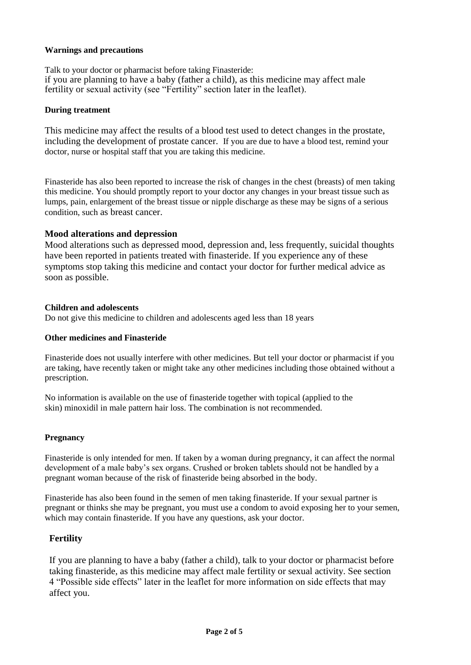### **Warnings and precautions**

Talk to your doctor or pharmacist before taking Finasteride: if you are planning to have a baby (father a child), as this medicine may affect male fertility or sexual activity (see "Fertility" section later in the leaflet).

### **During treatment**

This medicine may affect the results of a blood test used to detect changes in the prostate, including the development of prostate cancer. If you are due to have a blood test, remind your doctor, nurse or hospital staff that you are taking this medicine.

Finasteride has also been reported to increase the risk of changes in the chest (breasts) of men taking this medicine. You should promptly report to your doctor any changes in your breast tissue such as lumps, pain, enlargement of the breast tissue or nipple discharge as these may be signs of a serious condition, such as breast cancer.

# **Mood alterations and depression**

Mood alterations such as depressed mood, depression and, less frequently, suicidal thoughts have been reported in patients treated with finasteride. If you experience any of these symptoms stop taking this medicine and contact your doctor for further medical advice as soon as possible.

### **Children and adolescents**

Do not give this medicine to children and adolescents aged less than 18 years

### **Other medicines and Finasteride**

Finasteride does not usually interfere with other medicines. But tell your doctor or pharmacist if you are taking, have recently taken or might take any other medicines including those obtained without a prescription.

No information is available on the use of finasteride together with topical (applied to the skin) minoxidil in male pattern hair loss. The combination is not recommended.

### **Pregnancy**

Finasteride is only intended for men. If taken by a woman during pregnancy, it can affect the normal development of a male baby's sex organs. Crushed or broken tablets should not be handled by a pregnant woman because of the risk of finasteride being absorbed in the body.

Finasteride has also been found in the semen of men taking finasteride. If your sexual partner is pregnant or thinks she may be pregnant, you must use a condom to avoid exposing her to your semen, which may contain finasteride. If you have any questions, ask your doctor.

# **Fertility**

If you are planning to have a baby (father a child), talk to your doctor or pharmacist before taking finasteride, as this medicine may affect male fertility or sexual activity. See section 4 "Possible side effects" later in the leaflet for more information on side effects that may affect you.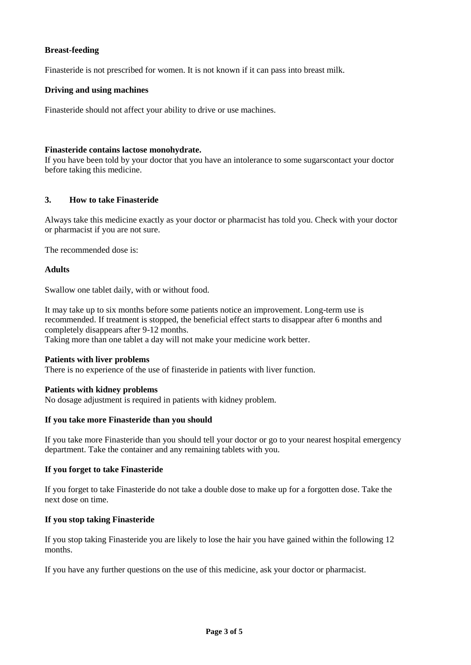## **Breast-feeding**

Finasteride is not prescribed for women. It is not known if it can pass into breast milk.

### **Driving and using machines**

Finasteride should not affect your ability to drive or use machines.

### **Finasteride contains lactose monohydrate.**

If you have been told by your doctor that you have an intolerance to some sugarscontact your doctor before taking this medicine.

### **3. How to take Finasteride**

Always take this medicine exactly as your doctor or pharmacist has told you. Check with your doctor or pharmacist if you are not sure.

The recommended dose is:

### **Adults**

Swallow one tablet daily, with or without food.

It may take up to six months before some patients notice an improvement. Long-term use is recommended. If treatment is stopped, the beneficial effect starts to disappear after 6 months and completely disappears after 9-12 months. Taking more than one tablet a day will not make your medicine work better.

# **Patients with liver problems**

There is no experience of the use of finasteride in patients with liver function.

### **Patients with kidney problems**

No dosage adjustment is required in patients with kidney problem.

### **If you take more Finasteride than you should**

If you take more Finasteride than you should tell your doctor or go to your nearest hospital emergency department. Take the container and any remaining tablets with you.

### **If you forget to take Finasteride**

If you forget to take Finasteride do not take a double dose to make up for a forgotten dose. Take the next dose on time.

### **If you stop taking Finasteride**

If you stop taking Finasteride you are likely to lose the hair you have gained within the following 12 months.

If you have any further questions on the use of this medicine, ask your doctor or pharmacist.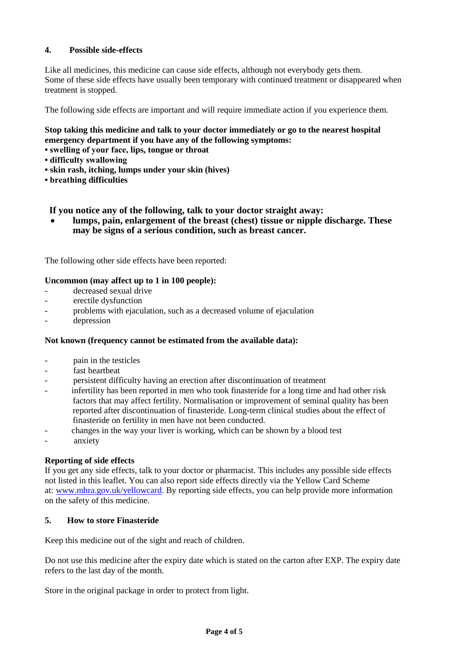# **4. Possible side-effects**

Like all medicines, this medicine can cause side effects, although not everybody gets them. Some of these side effects have usually been temporary with continued treatment or disappeared when treatment is stopped.

The following side effects are important and will require immediate action if you experience them.

# **Stop taking this medicine and talk to your doctor immediately or go to the nearest hospital emergency department if you have any of the following symptoms:**

- **swelling of your face, lips, tongue or throat**
- **difficulty swallowing**
- **skin rash, itching, lumps under your skin (hives)**
- **breathing difficulties**

### **If you notice any of the following, talk to your doctor straight away:**

• **lumps, pain, enlargement of the breast (chest) tissue or nipple discharge. These may be signs of a serious condition, such as breast cancer.**

The following other side effects have been reported:

### **Uncommon (may affect up to 1 in 100 people):**

- decreased sexual drive
- erectile dysfunction
- problems with ejaculation, such as a decreased volume of ejaculation
- depression

### **Not known (frequency cannot be estimated from the available data):**

- pain in the testicles
- fast heartheat
- persistent difficulty having an erection after discontinuation of treatment
- infertility has been reported in men who took finasteride for a long time and had other risk factors that may affect fertility. Normalisation or improvement of seminal quality has been reported after discontinuation of finasteride. Long-term clinical studies about the effect of finasteride on fertility in men have not been conducted.
- changes in the way your liver is working, which can be shown by a blood test
- anxiety

### **Reporting of side effects**

If you get any side effects, talk to your doctor or pharmacist. This includes any possible side effects not listed in this leaflet. You can also report side effects directly via the Yellow Card Scheme at: [www.mhra.gov.uk/yellowcard.](http://www.mhra.gov.uk/yellowcard) By reporting side effects, you can help provide more information on the safety of this medicine.

### **5. How to store Finasteride**

Keep this medicine out of the sight and reach of children.

Do not use this medicine after the expiry date which is stated on the carton after EXP. The expiry date refers to the last day of the month.

Store in the original package in order to protect from light.